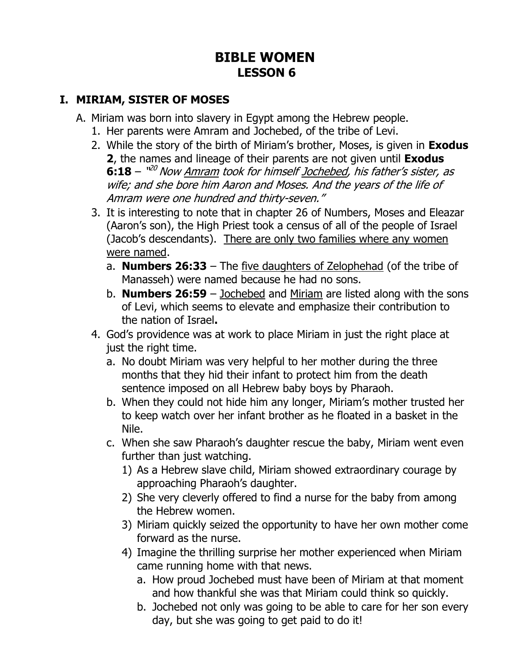## **BIBLE WOMEN LESSON 6**

#### **I. MIRIAM, SISTER OF MOSES**

- A. Miriam was born into slavery in Egypt among the Hebrew people.
	- 1. Her parents were Amram and Jochebed, of the tribe of Levi.
	- 2. While the story of the birth of Miriam's brother, Moses, is given in **Exodus 2**, the names and lineage of their parents are not given until **Exodus 6:18** – "<sup>20</sup> Now <u>Amram</u> took for himself <u>Jochebed</u>, his father's sister, as wife; and she bore him Aaron and Moses. And the years of the life of Amram were one hundred and thirty-seven."
	- 3. It is interesting to note that in chapter 26 of Numbers, Moses and Eleazar (Aaron's son), the High Priest took a census of all of the people of Israel (Jacob's descendants). There are only two families where any women were named.
		- a. **Numbers 26:33** The five daughters of Zelophehad (of the tribe of Manasseh) were named because he had no sons.
		- b. **Numbers 26:59** Jochebed and Miriam are listed along with the sons of Levi, which seems to elevate and emphasize their contribution to the nation of Israel**.**
	- 4. God's providence was at work to place Miriam in just the right place at just the right time.
		- a. No doubt Miriam was very helpful to her mother during the three months that they hid their infant to protect him from the death sentence imposed on all Hebrew baby boys by Pharaoh.
		- b. When they could not hide him any longer, Miriam's mother trusted her to keep watch over her infant brother as he floated in a basket in the Nile.
		- c. When she saw Pharaoh's daughter rescue the baby, Miriam went even further than just watching.
			- 1) As a Hebrew slave child, Miriam showed extraordinary courage by approaching Pharaoh's daughter.
			- 2) She very cleverly offered to find a nurse for the baby from among the Hebrew women.
			- 3) Miriam quickly seized the opportunity to have her own mother come forward as the nurse.
			- 4) Imagine the thrilling surprise her mother experienced when Miriam came running home with that news.
				- a. How proud Jochebed must have been of Miriam at that moment and how thankful she was that Miriam could think so quickly.
				- b. Jochebed not only was going to be able to care for her son every day, but she was going to get paid to do it!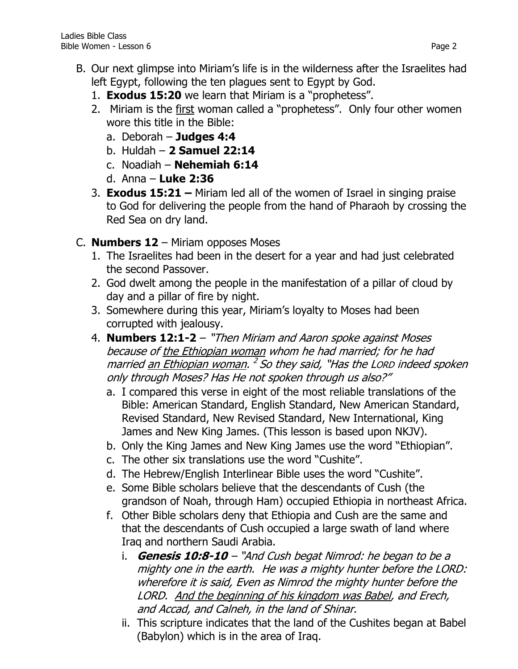- B. Our next glimpse into Miriam's life is in the wilderness after the Israelites had left Egypt, following the ten plagues sent to Egypt by God.
	- 1. **Exodus 15:20** we learn that Miriam is a "prophetess".
	- 2. Miriam is the first woman called a "prophetess". Only four other women wore this title in the Bible:
		- a. Deborah **Judges 4:4**
		- b. Huldah **2 Samuel 22:14**
		- c. Noadiah **Nehemiah 6:14**
		- d. Anna **Luke 2:36**
	- 3. **Exodus 15:21 –** Miriam led all of the women of Israel in singing praise to God for delivering the people from the hand of Pharaoh by crossing the Red Sea on dry land.
- C. **Numbers 12**  Miriam opposes Moses
	- 1. The Israelites had been in the desert for a year and had just celebrated the second Passover.
	- 2. God dwelt among the people in the manifestation of a pillar of cloud by day and a pillar of fire by night.
	- 3. Somewhere during this year, Miriam's loyalty to Moses had been corrupted with jealousy.
	- 4. **Numbers 12:1-2** "Then Miriam and Aaron spoke against Moses because of the Ethiopian woman whom he had married; for he had married <u>an Ethiopian woman</u>. <sup>2</sup> So they said, "Has the Lorp indeed spoken only through Moses? Has He not spoken through us also?"
		- a. I compared this verse in eight of the most reliable translations of the Bible: American Standard, English Standard, New American Standard, Revised Standard, New Revised Standard, New International, King James and New King James. (This lesson is based upon NKJV).
		- b. Only the King James and New King James use the word "Ethiopian".
		- c. The other six translations use the word "Cushite".
		- d. The Hebrew/English Interlinear Bible uses the word "Cushite".
		- e. Some Bible scholars believe that the descendants of Cush (the grandson of Noah, through Ham) occupied Ethiopia in northeast Africa.
		- f. Other Bible scholars deny that Ethiopia and Cush are the same and that the descendants of Cush occupied a large swath of land where Iraq and northern Saudi Arabia.
			- i. **Genesis 10:8-10** "And Cush begat Nimrod: he began to be a mighty one in the earth. He was a mighty hunter before the LORD: wherefore it is said, Even as Nimrod the mighty hunter before the LORD. And the beginning of his kingdom was Babel, and Erech, and Accad, and Calneh, in the land of Shinar.
			- ii. This scripture indicates that the land of the Cushites began at Babel (Babylon) which is in the area of Iraq.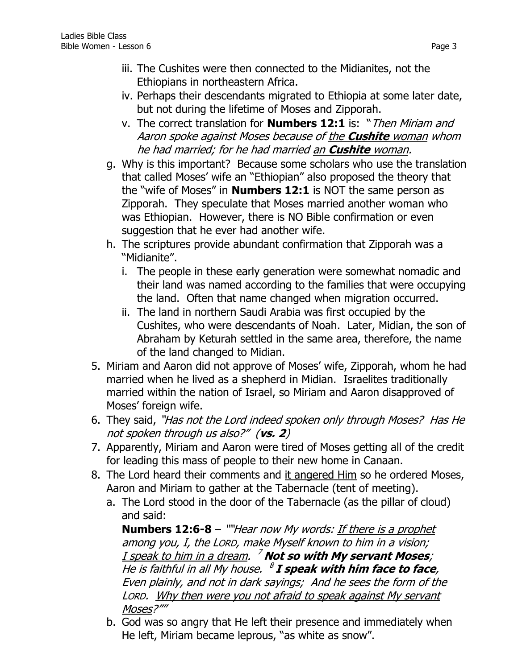- iii. The Cushites were then connected to the Midianites, not the Ethiopians in northeastern Africa.
- iv. Perhaps their descendants migrated to Ethiopia at some later date, but not during the lifetime of Moses and Zipporah.
- v. The correct translation for **Numbers 12:1** is: "Then Miriam and Aaron spoke against Moses because of the **Cushite** woman whom he had married; for he had married an **Cushite** woman.
- g. Why is this important? Because some scholars who use the translation that called Moses' wife an "Ethiopian" also proposed the theory that the "wife of Moses" in **Numbers 12:1** is NOT the same person as Zipporah. They speculate that Moses married another woman who was Ethiopian. However, there is NO Bible confirmation or even suggestion that he ever had another wife.
- h. The scriptures provide abundant confirmation that Zipporah was a "Midianite".
	- i. The people in these early generation were somewhat nomadic and their land was named according to the families that were occupying the land. Often that name changed when migration occurred.
	- ii. The land in northern Saudi Arabia was first occupied by the Cushites, who were descendants of Noah. Later, Midian, the son of Abraham by Keturah settled in the same area, therefore, the name of the land changed to Midian.
- 5. Miriam and Aaron did not approve of Moses' wife, Zipporah, whom he had married when he lived as a shepherd in Midian. Israelites traditionally married within the nation of Israel, so Miriam and Aaron disapproved of Moses' foreign wife.
- 6. They said, "Has not the Lord indeed spoken only through Moses? Has He not spoken through us also?" (**vs. 2**)
- 7. Apparently, Miriam and Aaron were tired of Moses getting all of the credit for leading this mass of people to their new home in Canaan.
- 8. The Lord heard their comments and it angered Him so he ordered Moses, Aaron and Miriam to gather at the Tabernacle (tent of meeting).
	- a. The Lord stood in the door of the Tabernacle (as the pillar of cloud) and said:

**Numbers 12:6-8** – ""Hear now My words: If there is a prophet among you, I, the LORD, make Myself known to him in a vision; I speak to him in a dream. <sup>7</sup> **Not so with My servant Moses**; He is faithful in all My house. 8 **I speak with him face to face**, Even plainly, and not in dark sayings; And he sees the form of the LORD. Why then were you not afraid to speak against My servant Moses?""

b. God was so angry that He left their presence and immediately when He left, Miriam became leprous, "as white as snow".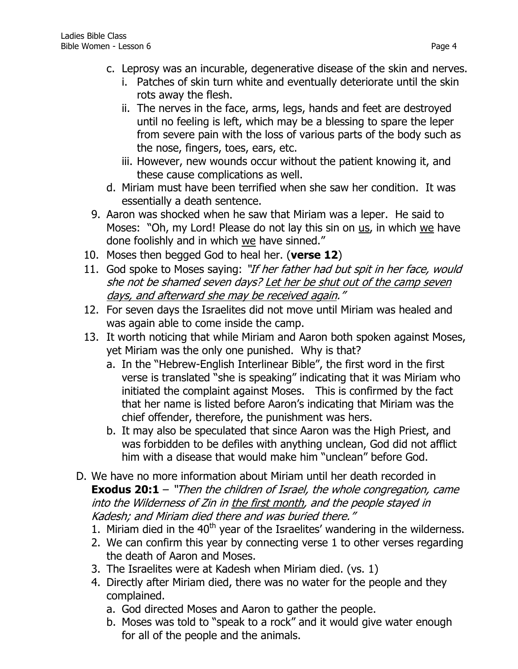- c. Leprosy was an incurable, degenerative disease of the skin and nerves.
	- i. Patches of skin turn white and eventually deteriorate until the skin rots away the flesh.
	- ii. The nerves in the face, arms, legs, hands and feet are destroyed until no feeling is left, which may be a blessing to spare the leper from severe pain with the loss of various parts of the body such as the nose, fingers, toes, ears, etc.
	- iii. However, new wounds occur without the patient knowing it, and these cause complications as well.
- d. Miriam must have been terrified when she saw her condition. It was essentially a death sentence.
- 9. Aaron was shocked when he saw that Miriam was a leper. He said to Moses: "Oh, my Lord! Please do not lay this sin on us, in which we have done foolishly and in which we have sinned."
- 10. Moses then begged God to heal her. (**verse 12**)
- 11. God spoke to Moses saying: "If her father had but spit in her face, would she not be shamed seven days? Let her be shut out of the camp seven days, and afterward she may be received again."
- 12. For seven days the Israelites did not move until Miriam was healed and was again able to come inside the camp.
- 13. It worth noticing that while Miriam and Aaron both spoken against Moses, yet Miriam was the only one punished. Why is that?
	- a. In the "Hebrew-English Interlinear Bible", the first word in the first verse is translated "she is speaking" indicating that it was Miriam who initiated the complaint against Moses. This is confirmed by the fact that her name is listed before Aaron's indicating that Miriam was the chief offender, therefore, the punishment was hers.
	- b. It may also be speculated that since Aaron was the High Priest, and was forbidden to be defiles with anything unclean, God did not afflict him with a disease that would make him "unclean" before God.
- D. We have no more information about Miriam until her death recorded in **Exodus 20:1** – "Then the children of Israel, the whole congregation, came into the Wilderness of Zin in the first month, and the people stayed in Kadesh; and Miriam died there and was buried there."
	- 1. Miriam died in the  $40<sup>th</sup>$  year of the Israelites' wandering in the wilderness.
	- 2. We can confirm this year by connecting verse 1 to other verses regarding the death of Aaron and Moses.
	- 3. The Israelites were at Kadesh when Miriam died. (vs. 1)
	- 4. Directly after Miriam died, there was no water for the people and they complained.
		- a. God directed Moses and Aaron to gather the people.
		- b. Moses was told to "speak to a rock" and it would give water enough for all of the people and the animals.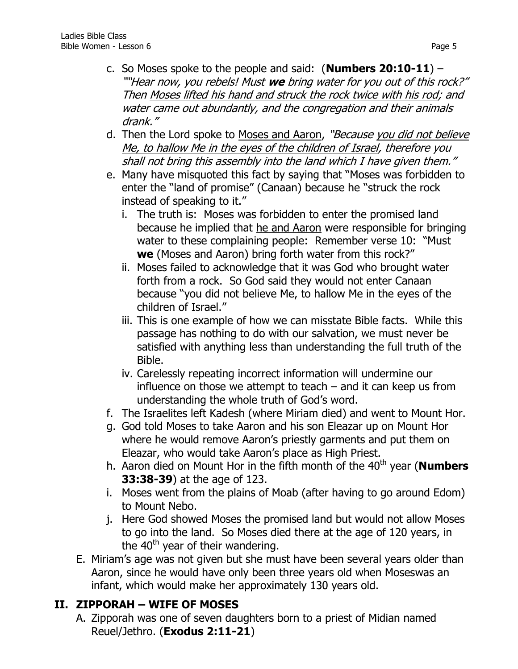- c. So Moses spoke to the people and said: (**Numbers 20:10-11**) ""Hear now, you rebels! Must **we** bring water for you out of this rock?" Then Moses lifted his hand and struck the rock twice with his rod; and water came out abundantly, and the congregation and their animals drank."
- d. Then the Lord spoke to Moses and Aaron, "Because you did not believe Me, to hallow Me in the eyes of the children of Israel, therefore you shall not bring this assembly into the land which I have given them."
- e. Many have misquoted this fact by saying that "Moses was forbidden to enter the "land of promise" (Canaan) because he "struck the rock instead of speaking to it."
	- i. The truth is: Moses was forbidden to enter the promised land because he implied that he and Aaron were responsible for bringing water to these complaining people: Remember verse 10: "Must **we** (Moses and Aaron) bring forth water from this rock?"
	- ii. Moses failed to acknowledge that it was God who brought water forth from a rock. So God said they would not enter Canaan because "you did not believe Me, to hallow Me in the eyes of the children of Israel."
	- iii. This is one example of how we can misstate Bible facts. While this passage has nothing to do with our salvation, we must never be satisfied with anything less than understanding the full truth of the Bible.
	- iv. Carelessly repeating incorrect information will undermine our influence on those we attempt to teach – and it can keep us from understanding the whole truth of God's word.
- f. The Israelites left Kadesh (where Miriam died) and went to Mount Hor.
- g. God told Moses to take Aaron and his son Eleazar up on Mount Hor where he would remove Aaron's priestly garments and put them on Eleazar, who would take Aaron's place as High Priest.
- h. Aaron died on Mount Hor in the fifth month of the 40<sup>th</sup> year (**Numbers 33:38-39**) at the age of 123.
- i. Moses went from the plains of Moab (after having to go around Edom) to Mount Nebo.
- j. Here God showed Moses the promised land but would not allow Moses to go into the land. So Moses died there at the age of 120 years, in the  $40<sup>th</sup>$  year of their wandering.
- E. Miriam's age was not given but she must have been several years older than Aaron, since he would have only been three years old when Moseswas an infant, which would make her approximately 130 years old.

### **II. ZIPPORAH – WIFE OF MOSES**

A. Zipporah was one of seven daughters born to a priest of Midian named Reuel/Jethro. (**Exodus 2:11-21**)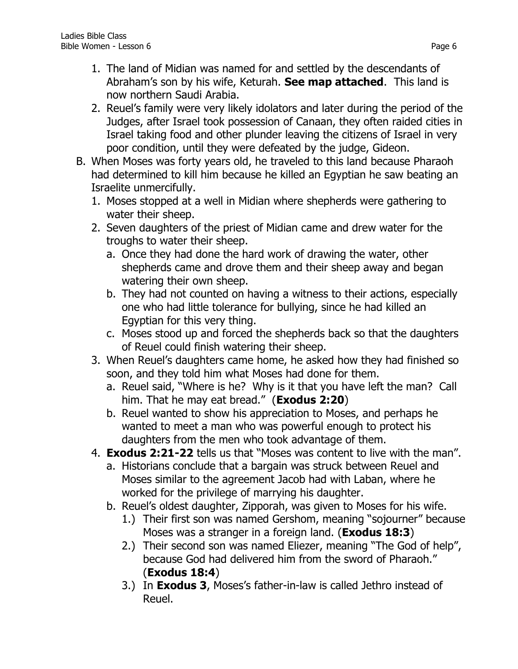- 1. The land of Midian was named for and settled by the descendants of Abraham's son by his wife, Keturah. **See map attached**. This land is now northern Saudi Arabia.
- 2. Reuel's family were very likely idolators and later during the period of the Judges, after Israel took possession of Canaan, they often raided cities in Israel taking food and other plunder leaving the citizens of Israel in very poor condition, until they were defeated by the judge, Gideon.
- B. When Moses was forty years old, he traveled to this land because Pharaoh had determined to kill him because he killed an Egyptian he saw beating an Israelite unmercifully.
	- 1. Moses stopped at a well in Midian where shepherds were gathering to water their sheep.
	- 2. Seven daughters of the priest of Midian came and drew water for the troughs to water their sheep.
		- a. Once they had done the hard work of drawing the water, other shepherds came and drove them and their sheep away and began watering their own sheep.
		- b. They had not counted on having a witness to their actions, especially one who had little tolerance for bullying, since he had killed an Egyptian for this very thing.
		- c. Moses stood up and forced the shepherds back so that the daughters of Reuel could finish watering their sheep.
	- 3. When Reuel's daughters came home, he asked how they had finished so soon, and they told him what Moses had done for them.
		- a. Reuel said, "Where is he? Why is it that you have left the man? Call him. That he may eat bread." (**Exodus 2:20**)
		- b. Reuel wanted to show his appreciation to Moses, and perhaps he wanted to meet a man who was powerful enough to protect his daughters from the men who took advantage of them.
	- 4. **Exodus 2:21-22** tells us that "Moses was content to live with the man".
		- a. Historians conclude that a bargain was struck between Reuel and Moses similar to the agreement Jacob had with Laban, where he worked for the privilege of marrying his daughter.
		- b. Reuel's oldest daughter, Zipporah, was given to Moses for his wife.
			- 1.) Their first son was named Gershom, meaning "sojourner" because Moses was a stranger in a foreign land. (**Exodus 18:3**)
			- 2.) Their second son was named Eliezer, meaning "The God of help", because God had delivered him from the sword of Pharaoh." (**Exodus 18:4**)
			- 3.) In **Exodus 3**, Moses's father-in-law is called Jethro instead of Reuel.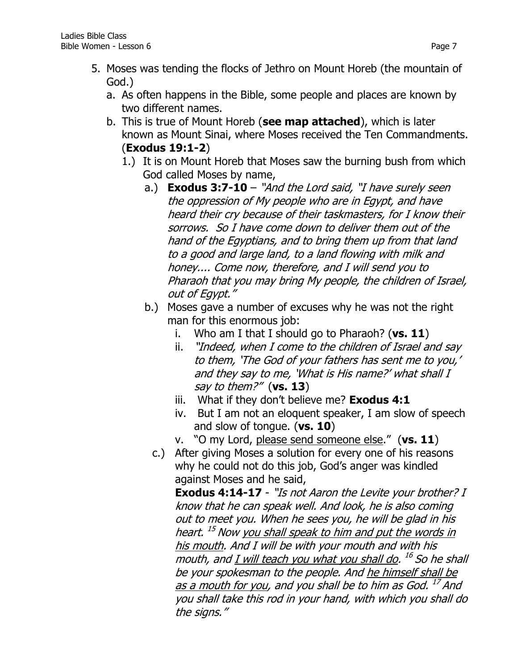- a. As often happens in the Bible, some people and places are known by two different names.
- b. This is true of Mount Horeb (**see map attached**), which is later known as Mount Sinai, where Moses received the Ten Commandments. (**Exodus 19:1-2**)
	- 1.) It is on Mount Horeb that Moses saw the burning bush from which God called Moses by name,
		- a.) **Exodus 3:7-10**  "And the Lord said, "I have surely seen the oppression of My people who are in Egypt, and have heard their cry because of their taskmasters, for I know their sorrows. So I have come down to deliver them out of the hand of the Egyptians, and to bring them up from that land to a good and large land, to a land flowing with milk and honey.... Come now, therefore, and I will send you to Pharaoh that you may bring My people, the children of Israel, out of Egypt."
		- b.) Moses gave a number of excuses why he was not the right man for this enormous job:
			- i. Who am I that I should go to Pharaoh? (**vs. 11**)
			- ii. "Indeed, when I come to the children of Israel and say to them, 'The God of your fathers has sent me to you,' and they say to me, 'What is His name?' what shall I say to them?" (**vs. 13**)
			- iii. What if they don't believe me? **Exodus 4:1**
			- iv. But I am not an eloquent speaker, I am slow of speech and slow of tongue. (**vs. 10**)
			- v. "O my Lord, please send someone else." (**vs. 11**)
			- c.) After giving Moses a solution for every one of his reasons why he could not do this job, God's anger was kindled against Moses and he said,

**Exodus 4:14-17** - "Is not Aaron the Levite your brother? I know that he can speak well. And look, he is also coming out to meet you. When he sees you, he will be glad in his heart. <sup>15</sup> Now <u>you shall speak to him and put the words in</u> his mouth. And I will be with your mouth and with his mouth, and <u>I will teach you what you shall do</u>. <sup>16</sup> So he shall be your spokesman to the people. And he himself shall be as a mouth for you, and you shall be to him as God. <sup>17</sup> And you shall take this rod in your hand, with which you shall do the signs."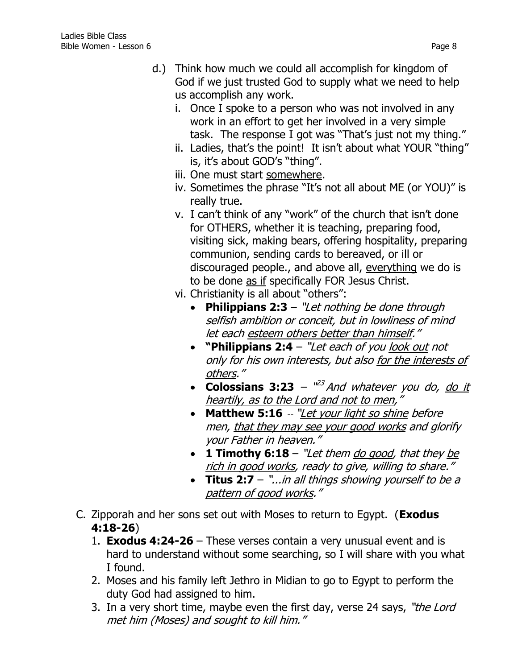- d.) Think how much we could all accomplish for kingdom of God if we just trusted God to supply what we need to help us accomplish any work.
	- i. Once I spoke to a person who was not involved in any work in an effort to get her involved in a very simple task. The response I got was "That's just not my thing."
	- ii. Ladies, that's the point! It isn't about what YOUR "thing" is, it's about GOD's "thing".
	- iii. One must start somewhere.
	- iv. Sometimes the phrase "It's not all about ME (or YOU)" is really true.
	- v. I can't think of any "work" of the church that isn't done for OTHERS, whether it is teaching, preparing food, visiting sick, making bears, offering hospitality, preparing communion, sending cards to bereaved, or ill or discouraged people., and above all, everything we do is to be done as if specifically FOR Jesus Christ.
	- vi. Christianity is all about "others":
		- **[Philippians 2:3](https://www.biblegateway.com/passage/?search=Philippians+2:3&version=NKJV)** "Let nothing be done through selfish ambition or conceit, but in lowliness of mind let each esteem others better than himself."
		- **"[Philippians 2:4](https://www.biblegateway.com/passage/?search=Philippians+2:4&version=NKJV)** "Let each of you look out not only for his own interests, but also for the interests of others."
		- Colossians 3:23 "<sup>23</sup> And whatever you do, do it heartily, as to the Lord and not to men,"
		- [Matthew](https://www.biblegateway.com/passage/?search=Matthew+5:16&version=NKJV) 5:16 -- "Let your light so shine before men, that they may see your good works and glorify your Father in heaven."
		- **[1 Timothy 6:18](https://www.biblegateway.com/passage/?search=1%20Timothy+6:18&version=NKJV)** "Let them do good, that they be rich in good works, ready to give, willing to share."
		- **Titus 2:7** "...in all things showing yourself to be <sup>a</sup> pattern of good works."
- C. Zipporah and her sons set out with Moses to return to Egypt. (**Exodus 4:18-26**)
	- 1. **Exodus 4:24-26**  These verses contain a very unusual event and is hard to understand without some searching, so I will share with you what I found.
	- 2. Moses and his family left Jethro in Midian to go to Egypt to perform the duty God had assigned to him.
	- 3. In a very short time, maybe even the first day, verse 24 says, "the Lord met him (Moses) and sought to kill him."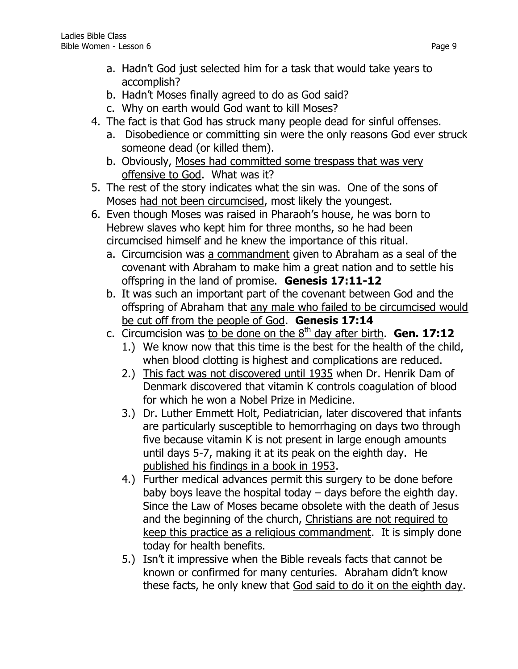- a. Hadn't God just selected him for a task that would take years to accomplish?
- b. Hadn't Moses finally agreed to do as God said?
- c. Why on earth would God want to kill Moses?
- 4. The fact is that God has struck many people dead for sinful offenses.
	- a. Disobedience or committing sin were the only reasons God ever struck someone dead (or killed them).
	- b. Obviously, Moses had committed some trespass that was very offensive to God. What was it?
- 5. The rest of the story indicates what the sin was. One of the sons of Moses had not been circumcised, most likely the youngest.
- 6. Even though Moses was raised in Pharaoh's house, he was born to Hebrew slaves who kept him for three months, so he had been circumcised himself and he knew the importance of this ritual.
	- a. Circumcision was a commandment given to Abraham as a seal of the covenant with Abraham to make him a great nation and to settle his offspring in the land of promise. **Genesis 17:11-12**
	- b. It was such an important part of the covenant between God and the offspring of Abraham that any male who failed to be circumcised would be cut off from the people of God. **Genesis 17:14**
	- c. Circumcision was to be done on the  $8<sup>th</sup>$  day after birth. **Gen. 17:12** 
		- 1.) We know now that this time is the best for the health of the child, when blood clotting is highest and complications are reduced.
		- 2.) This fact was not discovered until 1935 when Dr. Henrik Dam of Denmark discovered that vitamin K controls coagulation of blood for which he won a Nobel Prize in Medicine.
		- 3.) Dr. Luther Emmett Holt, Pediatrician, later discovered that infants are particularly susceptible to hemorrhaging on days two through five because vitamin K is not present in large enough amounts until days 5-7, making it at its peak on the eighth day. He published his findings in a book in 1953.
		- 4.) Further medical advances permit this surgery to be done before baby boys leave the hospital today – days before the eighth day. Since the Law of Moses became obsolete with the death of Jesus and the beginning of the church, Christians are not required to keep this practice as a religious commandment. It is simply done today for health benefits.
		- 5.) Isn't it impressive when the Bible reveals facts that cannot be known or confirmed for many centuries. Abraham didn't know these facts, he only knew that God said to do it on the eighth day.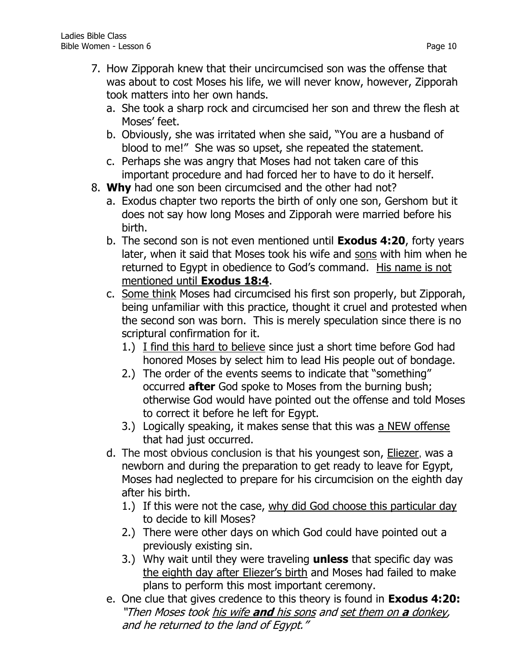- 7. How Zipporah knew that their uncircumcised son was the offense that was about to cost Moses his life, we will never know, however, Zipporah took matters into her own hands.
	- a. She took a sharp rock and circumcised her son and threw the flesh at Moses' feet.
	- b. Obviously, she was irritated when she said, "You are a husband of blood to me!" She was so upset, she repeated the statement.
	- c. Perhaps she was angry that Moses had not taken care of this important procedure and had forced her to have to do it herself.
- 8. **Why** had one son been circumcised and the other had not?
	- a. Exodus chapter two reports the birth of only one son, Gershom but it does not say how long Moses and Zipporah were married before his birth.
	- b. The second son is not even mentioned until **Exodus 4:20**, forty years later, when it said that Moses took his wife and sons with him when he returned to Egypt in obedience to God's command. His name is not mentioned until **Exodus 18:4**.
	- c. Some think Moses had circumcised his first son properly, but Zipporah, being unfamiliar with this practice, thought it cruel and protested when the second son was born. This is merely speculation since there is no scriptural confirmation for it.
		- 1.) I find this hard to believe since just a short time before God had honored Moses by select him to lead His people out of bondage.
		- 2.) The order of the events seems to indicate that "something" occurred **after** God spoke to Moses from the burning bush; otherwise God would have pointed out the offense and told Moses to correct it before he left for Egypt.
		- 3.) Logically speaking, it makes sense that this was a NEW offense that had just occurred.
	- d. The most obvious conclusion is that his youngest son, Eliezer, was a newborn and during the preparation to get ready to leave for Egypt, Moses had neglected to prepare for his circumcision on the eighth day after his birth.
		- 1.) If this were not the case, why did God choose this particular day to decide to kill Moses?
		- 2.) There were other days on which God could have pointed out a previously existing sin.
		- 3.) Why wait until they were traveling **unless** that specific day was the eighth day after Eliezer's birth and Moses had failed to make plans to perform this most important ceremony.
	- e. One clue that gives credence to this theory is found in **Exodus 4:20:** "Then Moses took his wife **and** his sons and set them on **a** donkey, and he returned to the land of Egypt."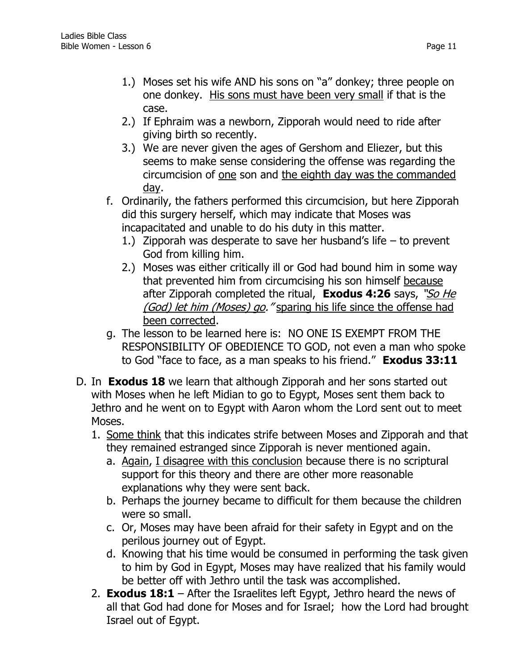- 1.) Moses set his wife AND his sons on "a" donkey; three people on one donkey. His sons must have been very small if that is the case.
- 2.) If Ephraim was a newborn, Zipporah would need to ride after giving birth so recently.
- 3.) We are never given the ages of Gershom and Eliezer, but this seems to make sense considering the offense was regarding the circumcision of one son and the eighth day was the commanded day.
- f. Ordinarily, the fathers performed this circumcision, but here Zipporah did this surgery herself, which may indicate that Moses was incapacitated and unable to do his duty in this matter.
	- 1.) Zipporah was desperate to save her husband's life  $-$  to prevent God from killing him.
	- 2.) Moses was either critically ill or God had bound him in some way that prevented him from circumcising his son himself because after Zipporah completed the ritual, **Exodus 4:26** says, "So He (God) let him (Moses) go. "sparing his life since the offense had been corrected.
- g. The lesson to be learned here is: NO ONE IS EXEMPT FROM THE RESPONSIBILITY OF OBEDIENCE TO GOD, not even a man who spoke to God "face to face, as a man speaks to his friend." **Exodus 33:11**
- D. In **Exodus 18** we learn that although Zipporah and her sons started out with Moses when he left Midian to go to Egypt, Moses sent them back to Jethro and he went on to Egypt with Aaron whom the Lord sent out to meet Moses.
	- 1. Some think that this indicates strife between Moses and Zipporah and that they remained estranged since Zipporah is never mentioned again.
		- a. Again, I disagree with this conclusion because there is no scriptural support for this theory and there are other more reasonable explanations why they were sent back.
		- b. Perhaps the journey became to difficult for them because the children were so small.
		- c. Or, Moses may have been afraid for their safety in Egypt and on the perilous journey out of Egypt.
		- d. Knowing that his time would be consumed in performing the task given to him by God in Egypt, Moses may have realized that his family would be better off with Jethro until the task was accomplished.
	- 2. **Exodus 18:1**  After the Israelites left Egypt, Jethro heard the news of all that God had done for Moses and for Israel; how the Lord had brought Israel out of Egypt.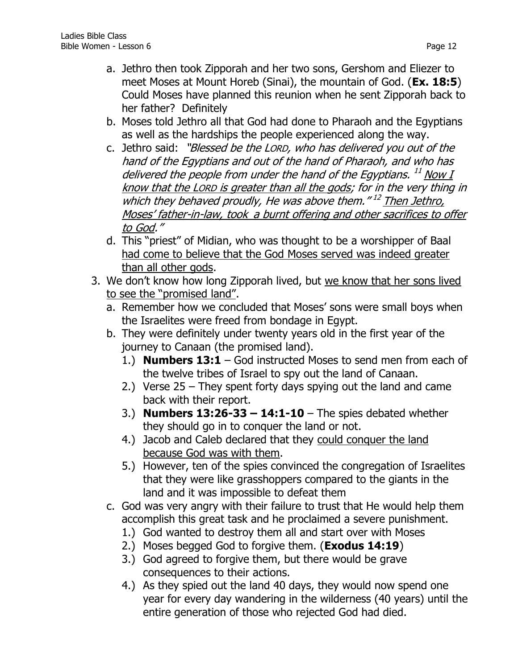- a. Jethro then took Zipporah and her two sons, Gershom and Eliezer to meet Moses at Mount Horeb (Sinai), the mountain of God. (**Ex. 18:5**) Could Moses have planned this reunion when he sent Zipporah back to her father? Definitely
- b. Moses told Jethro all that God had done to Pharaoh and the Egyptians as well as the hardships the people experienced along the way.
- c. Jethro said: "Blessed be the LORD, who has delivered you out of the hand of the Egyptians and out of the hand of Pharaoh, and who has delivered the people from under the hand of the Egyptians. <sup>11</sup> Now I know that the LORD is greater than all the gods; for in the very thing in which they behaved proudly, He was above them."<sup>12</sup> Then Jethro, Moses' father-in-law, took a burnt offering and other sacrifices to offer to God."
- d. This "priest" of Midian, who was thought to be a worshipper of Baal had come to believe that the God Moses served was indeed greater than all other gods.
- 3. We don't know how long Zipporah lived, but we know that her sons lived to see the "promised land".
	- a. Remember how we concluded that Moses' sons were small boys when the Israelites were freed from bondage in Egypt.
	- b. They were definitely under twenty years old in the first year of the journey to Canaan (the promised land).
		- 1.) **Numbers 13:1** God instructed Moses to send men from each of the twelve tribes of Israel to spy out the land of Canaan.
		- 2.) Verse 25 They spent forty days spying out the land and came back with their report.
		- 3.) **Numbers 13:26-33 – 14:1-10**  The spies debated whether they should go in to conquer the land or not.
		- 4.) Jacob and Caleb declared that they could conquer the land because God was with them.
		- 5.) However, ten of the spies convinced the congregation of Israelites that they were like grasshoppers compared to the giants in the land and it was impossible to defeat them
	- c. God was very angry with their failure to trust that He would help them accomplish this great task and he proclaimed a severe punishment.
		- 1.) God wanted to destroy them all and start over with Moses
		- 2.) Moses begged God to forgive them. (**Exodus 14:19**)
		- 3.) God agreed to forgive them, but there would be grave consequences to their actions.
		- 4.) As they spied out the land 40 days, they would now spend one year for every day wandering in the wilderness (40 years) until the entire generation of those who rejected God had died.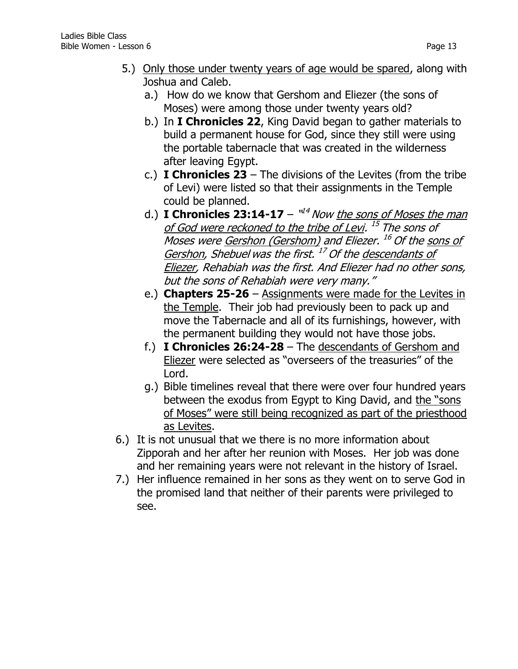- 5.) Only those under twenty years of age would be spared, along with Joshua and Caleb.
	- a.) How do we know that Gershom and Eliezer (the sons of Moses) were among those under twenty years old?
	- b.) In **I Chronicles 22**, King David began to gather materials to build a permanent house for God, since they still were using the portable tabernacle that was created in the wilderness after leaving Egypt.
	- c.) **I Chronicles 23** The divisions of the Levites (from the tribe of Levi) were listed so that their assignments in the Temple could be planned.
	- d.) **I Chronicles 23:14-17** "<sup>14</sup> Now <u>the sons of Moses the man</u> of God were reckoned to the tribe of Levi. <sup>15</sup> The sons of Moses were <u>Gershon (Gershom)</u> and Eliezer. <sup>16</sup> Of the <u>sons of</u> Gershon, Shebuel was the first. <sup>17</sup> Of the <u>descendants of</u> Eliezer, Rehabiah was the first. And Eliezer had no other sons, but the sons of Rehabiah were very many."
	- e.) **Chapters 25-26** Assignments were made for the Levites in the Temple. Their job had previously been to pack up and move the Tabernacle and all of its furnishings, however, with the permanent building they would not have those jobs.
	- f.) **I Chronicles 26:24-28**  The descendants of Gershom and Eliezer were selected as "overseers of the treasuries" of the Lord.
	- g.) Bible timelines reveal that there were over four hundred years between the exodus from Egypt to King David, and the "sons of Moses" were still being recognized as part of the priesthood as Levites.
- 6.) It is not unusual that we there is no more information about Zipporah and her after her reunion with Moses. Her job was done and her remaining years were not relevant in the history of Israel.
- 7.) Her influence remained in her sons as they went on to serve God in the promised land that neither of their parents were privileged to see.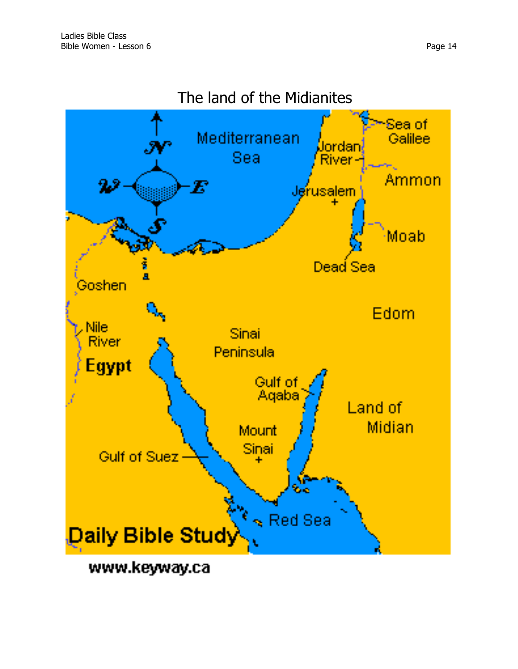

# The land of the Midianites

www.keyway.ca